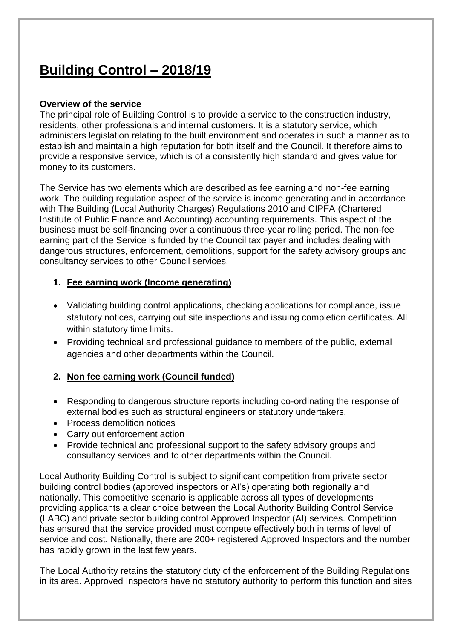### **Building Control – 2018/19**

#### **Overview of the service**

The principal role of Building Control is to provide a service to the construction industry, residents, other professionals and internal customers. It is a statutory service, which administers legislation relating to the built environment and operates in such a manner as to establish and maintain a high reputation for both itself and the Council. It therefore aims to provide a responsive service, which is of a consistently high standard and gives value for money to its customers.

The Service has two elements which are described as fee earning and non-fee earning work. The building regulation aspect of the service is income generating and in accordance with The Building (Local Authority Charges) Regulations 2010 and CIPFA (Chartered Institute of Public Finance and Accounting) accounting requirements. This aspect of the business must be self-financing over a continuous three-year rolling period. The non-fee earning part of the Service is funded by the Council tax payer and includes dealing with dangerous structures, enforcement, demolitions, support for the safety advisory groups and consultancy services to other Council services.

#### **1. Fee earning work (Income generating)**

- Validating building control applications, checking applications for compliance, issue statutory notices, carrying out site inspections and issuing completion certificates. All within statutory time limits.
- Providing technical and professional guidance to members of the public, external agencies and other departments within the Council.

#### **2. Non fee earning work (Council funded)**

- Responding to dangerous structure reports including co-ordinating the response of external bodies such as structural engineers or statutory undertakers,
- Process demolition notices
- Carry out enforcement action
- Provide technical and professional support to the safety advisory groups and consultancy services and to other departments within the Council.

Local Authority Building Control is subject to significant competition from private sector building control bodies (approved inspectors or AI's) operating both regionally and nationally. This competitive scenario is applicable across all types of developments providing applicants a clear choice between the Local Authority Building Control Service (LABC) and private sector building control Approved Inspector (AI) services. Competition has ensured that the service provided must compete effectively both in terms of level of service and cost. Nationally, there are 200+ registered Approved Inspectors and the number has rapidly grown in the last few years.

The Local Authority retains the statutory duty of the enforcement of the Building Regulations in its area. Approved Inspectors have no statutory authority to perform this function and sites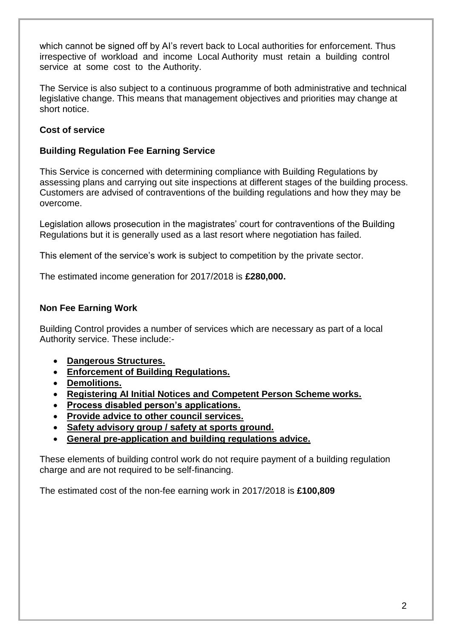which cannot be signed off by AI's revert back to Local authorities for enforcement. Thus irrespective of workload and income Local Authority must retain a building control service at some cost to the Authority.

The Service is also subject to a continuous programme of both administrative and technical legislative change. This means that management objectives and priorities may change at short notice.

#### **Cost of service**

#### **Building Regulation Fee Earning Service**

This Service is concerned with determining compliance with Building Regulations by assessing plans and carrying out site inspections at different stages of the building process. Customers are advised of contraventions of the building regulations and how they may be overcome.

Legislation allows prosecution in the magistrates' court for contraventions of the Building Regulations but it is generally used as a last resort where negotiation has failed.

This element of the service's work is subject to competition by the private sector.

The estimated income generation for 2017/2018 is **£280,000.**

#### **Non Fee Earning Work**

Building Control provides a number of services which are necessary as part of a local Authority service. These include:-

- **Dangerous Structures.**
- **Enforcement of Building Regulations.**
- **Demolitions.**
- **Registering AI Initial Notices and Competent Person Scheme works.**
- **Process disabled person's applications.**
- **Provide advice to other council services.**
- **Safety advisory group / safety at sports ground.**
- **General pre-application and building regulations advice.**

These elements of building control work do not require payment of a building regulation charge and are not required to be self-financing.

The estimated cost of the non-fee earning work in 2017/2018 is **£100,809**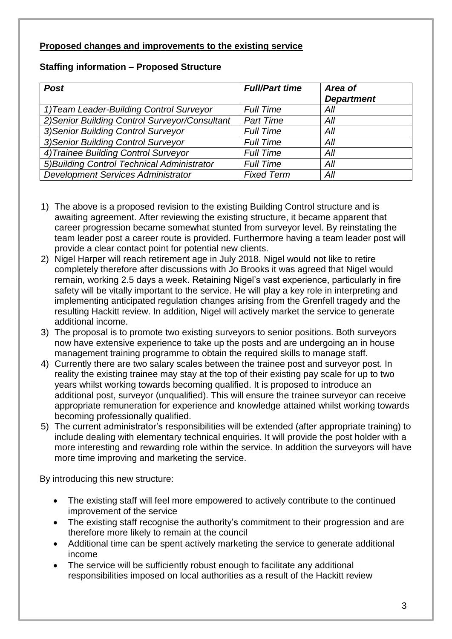#### **Proposed changes and improvements to the existing service**

#### **Staffing information – Proposed Structure**

| <b>Post</b>                                    | <b>Full/Part time</b> | Area of<br><b>Department</b> |
|------------------------------------------------|-----------------------|------------------------------|
| 1) Team Leader-Building Control Surveyor       | <b>Full Time</b>      | All                          |
| 2) Senior Building Control Surveyor/Consultant | <b>Part Time</b>      | All                          |
| 3) Senior Building Control Surveyor            | <b>Full Time</b>      | All                          |
| 3) Senior Building Control Surveyor            | <b>Full Time</b>      | All                          |
| 4) Trainee Building Control Surveyor           | <b>Full Time</b>      | All                          |
| 5) Building Control Technical Administrator    | <b>Full Time</b>      | All                          |
| <b>Development Services Administrator</b>      | <b>Fixed Term</b>     | All                          |

- 1) The above is a proposed revision to the existing Building Control structure and is awaiting agreement. After reviewing the existing structure, it became apparent that career progression became somewhat stunted from surveyor level. By reinstating the team leader post a career route is provided. Furthermore having a team leader post will provide a clear contact point for potential new clients.
- 2) Nigel Harper will reach retirement age in July 2018. Nigel would not like to retire completely therefore after discussions with Jo Brooks it was agreed that Nigel would remain, working 2.5 days a week. Retaining Nigel's vast experience, particularly in fire safety will be vitally important to the service. He will play a key role in interpreting and implementing anticipated regulation changes arising from the Grenfell tragedy and the resulting Hackitt review. In addition, Nigel will actively market the service to generate additional income.
- 3) The proposal is to promote two existing surveyors to senior positions. Both surveyors now have extensive experience to take up the posts and are undergoing an in house management training programme to obtain the required skills to manage staff.
- 4) Currently there are two salary scales between the trainee post and surveyor post. In reality the existing trainee may stay at the top of their existing pay scale for up to two years whilst working towards becoming qualified. It is proposed to introduce an additional post, surveyor (unqualified). This will ensure the trainee surveyor can receive appropriate remuneration for experience and knowledge attained whilst working towards becoming professionally qualified.
- 5) The current administrator's responsibilities will be extended (after appropriate training) to include dealing with elementary technical enquiries. It will provide the post holder with a more interesting and rewarding role within the service. In addition the surveyors will have more time improving and marketing the service.

By introducing this new structure:

- The existing staff will feel more empowered to actively contribute to the continued improvement of the service
- The existing staff recognise the authority's commitment to their progression and are therefore more likely to remain at the council
- Additional time can be spent actively marketing the service to generate additional income
- The service will be sufficiently robust enough to facilitate any additional responsibilities imposed on local authorities as a result of the Hackitt review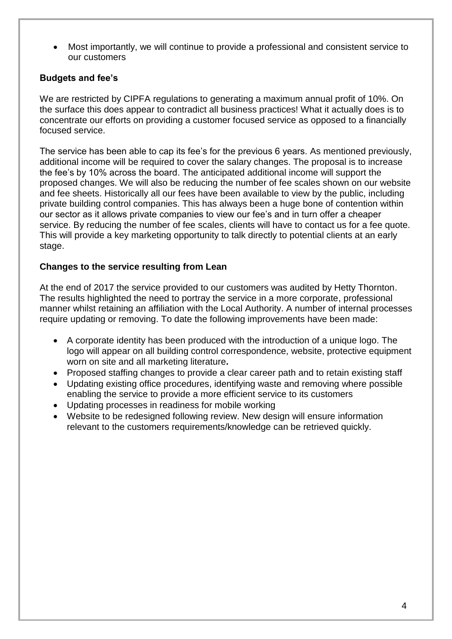Most importantly, we will continue to provide a professional and consistent service to our customers

#### **Budgets and fee's**

We are restricted by CIPFA regulations to generating a maximum annual profit of 10%. On the surface this does appear to contradict all business practices! What it actually does is to concentrate our efforts on providing a customer focused service as opposed to a financially focused service.

The service has been able to cap its fee's for the previous 6 years. As mentioned previously, additional income will be required to cover the salary changes. The proposal is to increase the fee's by 10% across the board. The anticipated additional income will support the proposed changes. We will also be reducing the number of fee scales shown on our website and fee sheets. Historically all our fees have been available to view by the public, including private building control companies. This has always been a huge bone of contention within our sector as it allows private companies to view our fee's and in turn offer a cheaper service. By reducing the number of fee scales, clients will have to contact us for a fee quote. This will provide a key marketing opportunity to talk directly to potential clients at an early stage.

#### **Changes to the service resulting from Lean**

At the end of 2017 the service provided to our customers was audited by Hetty Thornton. The results highlighted the need to portray the service in a more corporate, professional manner whilst retaining an affiliation with the Local Authority. A number of internal processes require updating or removing. To date the following improvements have been made:

- A corporate identity has been produced with the introduction of a unique logo. The logo will appear on all building control correspondence, website, protective equipment worn on site and all marketing literature**.**
- Proposed staffing changes to provide a clear career path and to retain existing staff
- Updating existing office procedures, identifying waste and removing where possible enabling the service to provide a more efficient service to its customers
- Updating processes in readiness for mobile working
- Website to be redesigned following review. New design will ensure information relevant to the customers requirements/knowledge can be retrieved quickly.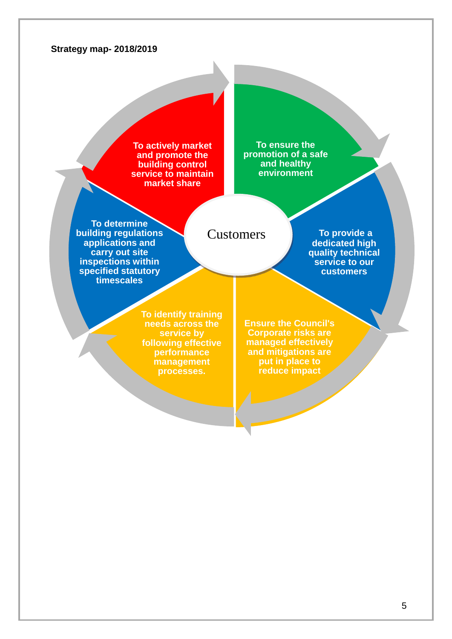#### **Strategy map- 2018/2019**

**To actively market and promote the building control service to maintain market share**

**To ensure the promotion of a safe and healthy environment**

**To determine building regulations applications and carry out site inspections within specified statutory timescales**

#### Customers

**Ensure the Council's Corporate risks are managed effectively and mitigations are put in place to** 

**reduce impact**

**To provide a dedicated high quality technical service to our customers**

**To identify training needs across the service by following effective performance management processes.**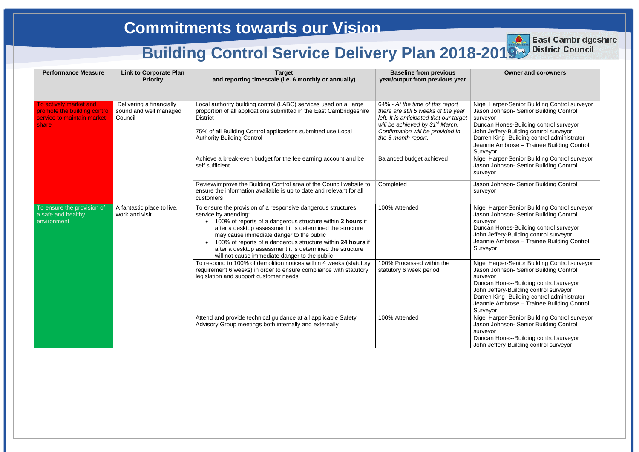#### **Owner and co-owners**

- el Harper-Senior Building Control surveyor on Johnson- Senior Building Control *v*eyor
- ncan Hones-Building control surveyor n Jeffery-Building control surveyor ren King- Building control administrator nnie Ambrose – Trainee Building Control
- veyor
- el Harper-Senior Building Control surveyor on Johnson- Senior Building Control /eyor
- on Johnson- Senior Building Control veyor
- el Harper-Senior Building Control surveyor on Johnson- Senior Building Control veyor
- Ican Hones-Building control surveyor n Jeffery-Building control surveyor nnie Ambrose – Trainee Building Control veyor
- el Harper-Senior Building Control surveyor on Johnson- Senior Building Control veyor
- Ican Hones-Building control surveyor n Jeffery-Building control surveyor ren King- Building control administrator nnie Ambrose – Trainee Building Control
- veyor el Harper-Senior Building Control surveyor on Johnson- Senior Building Control veyor
- ncan Hones-Building control surveyor n Jeffery-Building control surveyor

| <b>Performance Measure</b>                                                                    | <b>Link to Corporate Plan</b><br><b>Priority</b>              | <b>Target</b><br>and reporting timescale (i.e. 6 monthly or annually)                                                                                                                                                                                                                                                                                                                                                                       | <b>Baseline from previous</b><br>year/output from previous year                                                                                                                                                              |                                                            |
|-----------------------------------------------------------------------------------------------|---------------------------------------------------------------|---------------------------------------------------------------------------------------------------------------------------------------------------------------------------------------------------------------------------------------------------------------------------------------------------------------------------------------------------------------------------------------------------------------------------------------------|------------------------------------------------------------------------------------------------------------------------------------------------------------------------------------------------------------------------------|------------------------------------------------------------|
| To actively market and<br>promote the building control<br>service to maintain market<br>share | Delivering a financially<br>sound and well managed<br>Council | Local authority building control (LABC) services used on a large<br>proportion of all applications submitted in the East Cambridgeshire<br><b>District</b><br>75% of all Building Control applications submitted use Local<br><b>Authority Building Control</b>                                                                                                                                                                             | 64% - At the time of this report<br>there are still 5 weeks of the year<br>left. It is anticipated that our target<br>will be achieved by 31 <sup>st</sup> March.<br>Confirmation will be provided in<br>the 6-month report. | Nige<br>Jaso<br>surv<br>Dun<br>Johi<br>Dari<br>Jear<br>Sur |
|                                                                                               |                                                               | Achieve a break-even budget for the fee earning account and be<br>self sufficient                                                                                                                                                                                                                                                                                                                                                           | Balanced budget achieved                                                                                                                                                                                                     | <b>Nige</b><br>Jaso<br>surv                                |
|                                                                                               |                                                               | Review/improve the Building Control area of the Council website to<br>ensure the information available is up to date and relevant for all<br>customers                                                                                                                                                                                                                                                                                      | Completed                                                                                                                                                                                                                    | Jaso<br>surv                                               |
| To ensure the provision of<br>a safe and healthy<br>environment                               | A fantastic place to live,<br>work and visit                  | To ensure the provision of a responsive dangerous structures<br>service by attending:<br>• 100% of reports of a dangerous structure within 2 hours if<br>after a desktop assessment it is determined the structure<br>may cause immediate danger to the public<br>100% of reports of a dangerous structure within 24 hours if<br>after a desktop assessment it is determined the structure<br>will not cause immediate danger to the public | 100% Attended                                                                                                                                                                                                                | Nige<br>Jaso<br>surv<br>Dun<br>Johi<br>Jear<br>Sur         |
|                                                                                               |                                                               | To respond to 100% of demolition notices within 4 weeks (statutory<br>requirement 6 weeks) in order to ensure compliance with statutory<br>legislation and support customer needs                                                                                                                                                                                                                                                           | 100% Processed within the<br>statutory 6 week period                                                                                                                                                                         | Nige<br>Jaso<br>surv<br>Dun<br>Johi<br>Dari<br>Jear<br>Sur |
|                                                                                               |                                                               | Attend and provide technical guidance at all applicable Safety<br>Advisory Group meetings both internally and externally                                                                                                                                                                                                                                                                                                                    | 100% Attended                                                                                                                                                                                                                | Nige<br>Jaso<br>surv<br>Dun<br>Johi                        |



**East Cambridgeshire District Council**

## **Commitments towards our Vision**

# **Building Control Service Delivery Plan 2018-2019** District Council